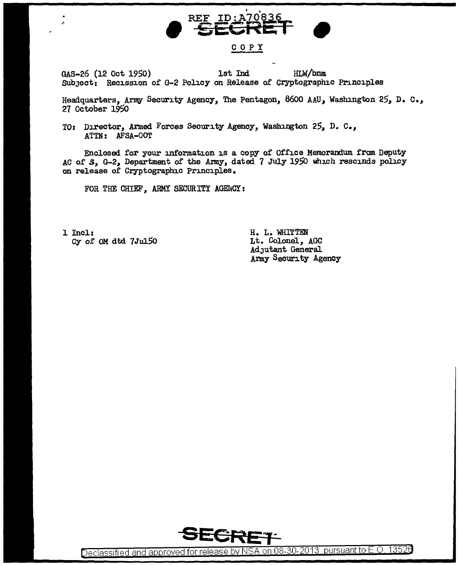

GAS-26 (12 Oct 1950) 1st Ind HLW/bnm Subject: Recission of G-2 Policy on Release of Cryptographic Principles

Headquarters, Army Security Agency, The Pentagon, 8600 AAU, Washington 25, D. c., 27 October 1950

TO: Director, Armed Forces Security Agency, Washington 25, D. C., ATTN: AFSA-OO'r

Enclosed for your information is a copy of Office Memorandum from Deputy AC of *S*, G-2, Department of the Army, dated 7 July 1950 which rescinds policy on release of Cryptographic Principles.

FOR THE CHIEF, ARMY SECURITY AGENCY:

l Incl: Cy of OM dtd 7Ju150 H. L. WHITTEN Lt. Colonel, AOC AdJutant General Army Security Agency



Declassified and approved for release by NSA on 08-30-2013 pursuant to E.O. 13526